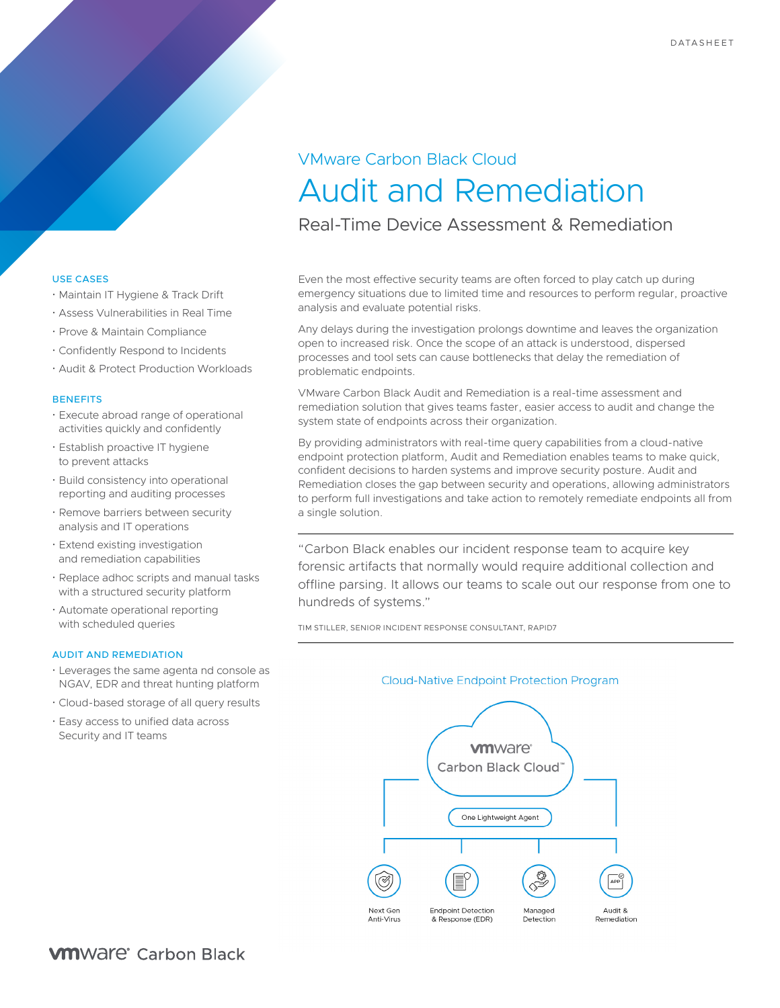# VMware Carbon Black Cloud Audit and Remediation

Real-Time Device Assessment & Remediation

Even the most effective security teams are often forced to play catch up during emergency situations due to limited time and resources to perform regular, proactive analysis and evaluate potential risks.

Any delays during the investigation prolongs downtime and leaves the organization open to increased risk. Once the scope of an attack is understood, dispersed processes and tool sets can cause bottlenecks that delay the remediation of problematic endpoints.

VMware Carbon Black Audit and Remediation is a real-time assessment and remediation solution that gives teams faster, easier access to audit and change the system state of endpoints across their organization.

By providing administrators with real-time query capabilities from a cloud-native endpoint protection platform, Audit and Remediation enables teams to make quick, confident decisions to harden systems and improve security posture. Audit and Remediation closes the gap between security and operations, allowing administrators to perform full investigations and take action to remotely remediate endpoints all from a single solution.

"Carbon Black enables our incident response team to acquire key forensic artifacts that normally would require additional collection and offline parsing. It allows our teams to scale out our response from one to hundreds of systems."

TIM STILLER, SENIOR INCIDENT RESPONSE CONSULTANT, RAPID7



## USE CASES

- Maintain IT Hygiene & Track Drift
- Assess Vulnerabilities in Real Time
- Prove & Maintain Compliance
- Confidently Respond to Incidents
- Audit & Protect Production Workloads

#### **BENEFITS**

- Execute abroad range of operational activities quickly and confidently
- Establish proactive IT hygiene to prevent attacks
- Build consistency into operational reporting and auditing processes
- Remove barriers between security analysis and IT operations
- Extend existing investigation and remediation capabilities
- Replace adhoc scripts and manual tasks with a structured security platform
- Automate operational reporting with scheduled queries

#### AUDIT AND REMEDIATION

- Leverages the same agenta nd console as NGAV, EDR and threat hunting platform
- Cloud-based storage of all query results
- Easy access to unified data across Security and IT teams

**VM**Ware<sup>®</sup> Carbon Black